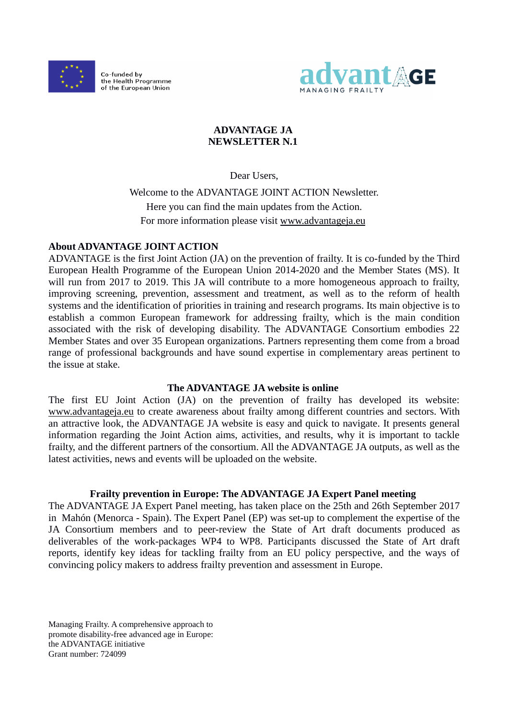



## ADVANTAGE JA NEWSLETTER N.1

Dear Users,

Welcome to the ADVANTAGE JOINT ACTION Newsletter. Here you can find the main updates from the Action. For more information please visit www.advantageja.eu

### About ADVANTAGE JOINT ACTION

ADVANTAGE is the first Joint Action (JA) on the prevention of frailty. It is co-funded by the Third European Health Programme of the European Union 2014-2020 and the Member States (MS). It will run from 2017 to 2019. This JA will contribute to a more homogeneous approach to frailty, improving screening, prevention, assessment and treatment, as well as to the reform of health systems and the identification of priorities in training and research programs. Its main objective is to establish a common European framework for addressing frailty, which is the main condition associated with the risk of developing disability. The ADVANTAGE Consortium embodies 22 Member States and over 35 European organizations. Partners representing them come from a broad range of professional backgrounds and have sound expertise in complementary areas pertinent to the issue at stake.

## The ADVANTAGE JA website is online

The first EU Joint Action (JA) on the prevention of frailty has developed its website: www.advantageja.eu to create awareness about frailty among different countries and sectors. With an attractive look, the ADVANTAGE JA website is easy and quick to navigate. It presents general information regarding the Joint Action aims, activities, and results, why it is important to tackle frailty, and the different partners of the consortium. All the ADVANTAGE JA outputs, as well as the latest activities, news and events will be uploaded on the website.

## Frailty prevention in Europe: The ADVANTAGE JA Expert Panel meeting

The ADVANTAGE JA Expert Panel meeting, has taken place on the 25th and 26th September 2017 in Mahón (Menorca - Spain). The Expert Panel (EP) was set-up to complement the expertise of the JA Consortium members and to peer-review the State of Art draft documents produced as deliverables of the work-packages WP4 to WP8. Participants discussed the State of Art draft reports, identify key ideas for tackling frailty from an EU policy perspective, and the ways of convincing policy makers to address frailty prevention and assessment in Europe.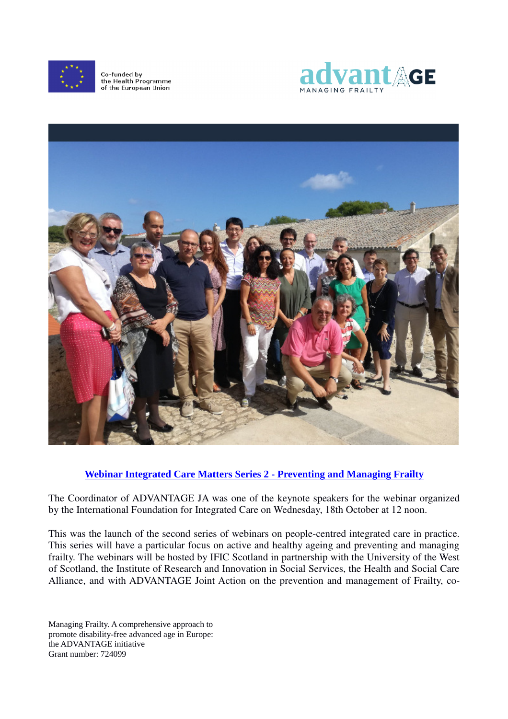





## Webinar Integrated Care Matters Series 2 - Preventing and Managing Frailty

The Coordinator of ADVANTAGE JA was one of the keynote speakers for the webinar organized by the International Foundation for Integrated Care on Wednesday, 18th October at 12 noon.

This was the launch of the second series of webinars on people-centred integrated care in practice. This series will have a particular focus on active and healthy ageing and preventing and managing frailty. The webinars will be hosted by IFIC Scotland in partnership with the University of the West of Scotland, the Institute of Research and Innovation in Social Services, the Health and Social Care Alliance, and with ADVANTAGE Joint Action on the prevention and management of Frailty, co-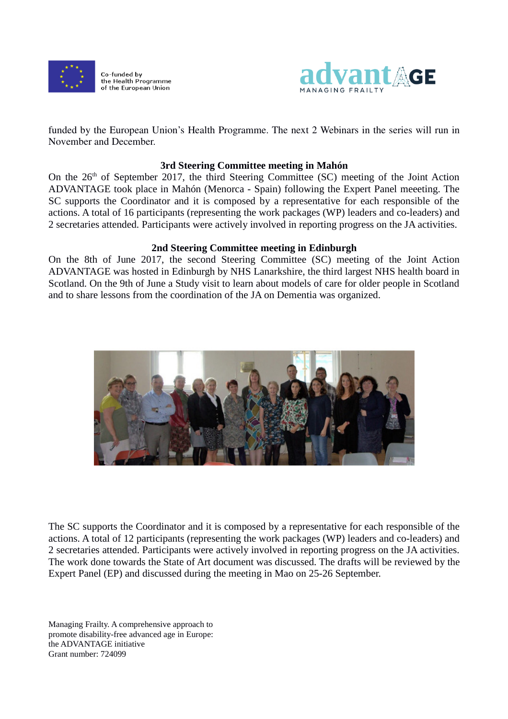



funded by the European Union's Health Programme. The next 2 Webinars in the series will run in November and December.

#### 3rd Steering Committee meeting in Mahón

On the 26<sup>th</sup> of September 2017, the third Steering Committee (SC) meeting of the Joint Action ADVANTAGE took place in Mahón (Menorca - Spain) following the Expert Panel meeeting. The SC supports the Coordinator and it is composed by a representative for each responsible of the actions. A total of 16 participants (representing the work packages (WP) leaders and co-leaders) and 2 secretaries attended. Participants were actively involved in reporting progress on the JA activities.

#### 2nd Steering Committee meeting in Edinburgh

On the 8th of June 2017, the second Steering Committee (SC) meeting of the Joint Action ADVANTAGE was hosted in Edinburgh by NHS Lanarkshire, the third largest NHS health board in Scotland. On the 9th of June a Study visit to learn about models of care for older people in Scotland and to share lessons from the coordination of the JA on Dementia was organized.



The SC supports the Coordinator and it is composed by a representative for each responsible of the actions. A total of 12 participants (representing the work packages (WP) leaders and co-leaders) and 2 secretaries attended. Participants were actively involved in reporting progress on the JA activities. The work done towards the State of Art document was discussed. The drafts will be reviewed by the Expert Panel (EP) and discussed during the meeting in Mao on 25-26 September.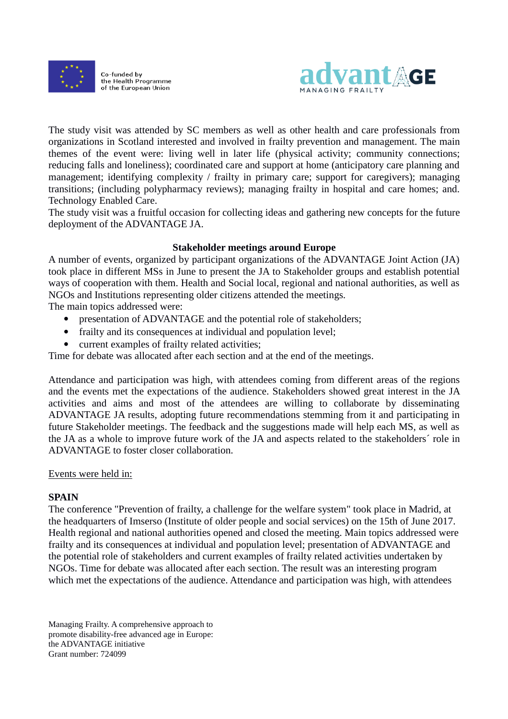



The study visit was attended by SC members as well as other health and care professionals from organizations in Scotland interested and involved in frailty prevention and management. The main themes of the event were: living well in later life (physical activity; community connections; reducing falls and loneliness); coordinated care and support at home (anticipatory care planning and management; identifying complexity / frailty in primary care; support for caregivers); managing transitions; (including polypharmacy reviews); managing frailty in hospital and care homes; and. Technology Enabled Care.

The study visit was a fruitful occasion for collecting ideas and gathering new concepts for the future deployment of the ADVANTAGE JA.

### Stakeholder meetings around Europe

A number of events, organized by participant organizations of the ADVANTAGE Joint Action (JA) took place in different MSs in June to present the JA to Stakeholder groups and establish potential ways of cooperation with them. Health and Social local, regional and national authorities, as well as NGOs and Institutions representing older citizens attended the meetings.

The main topics addressed were:

- presentation of ADVANTAGE and the potential role of stakeholders;
- frailty and its consequences at individual and population level;
- current examples of frailty related activities;

Time for debate was allocated after each section and at the end of the meetings.

Attendance and participation was high, with attendees coming from different areas of the regions and the events met the expectations of the audience. Stakeholders showed great interest in the JA activities and aims and most of the attendees are willing to collaborate by disseminating ADVANTAGE JA results, adopting future recommendations stemming from it and participating in future Stakeholder meetings. The feedback and the suggestions made will help each MS, as well as the JA as a whole to improve future work of the JA and aspects related to the stakeholders´ role in ADVANTAGE to foster closer collaboration.

#### Events were held in:

## **SPAIN**

The conference "Prevention of frailty, a challenge for the welfare system" took place in Madrid, at the headquarters of Imserso (Institute of older people and social services) on the 15th of June 2017. Health regional and national authorities opened and closed the meeting. Main topics addressed were frailty and its consequences at individual and population level; presentation of ADVANTAGE and the potential role of stakeholders and current examples of frailty related activities undertaken by NGOs. Time for debate was allocated after each section. The result was an interesting program which met the expectations of the audience. Attendance and participation was high, with attendees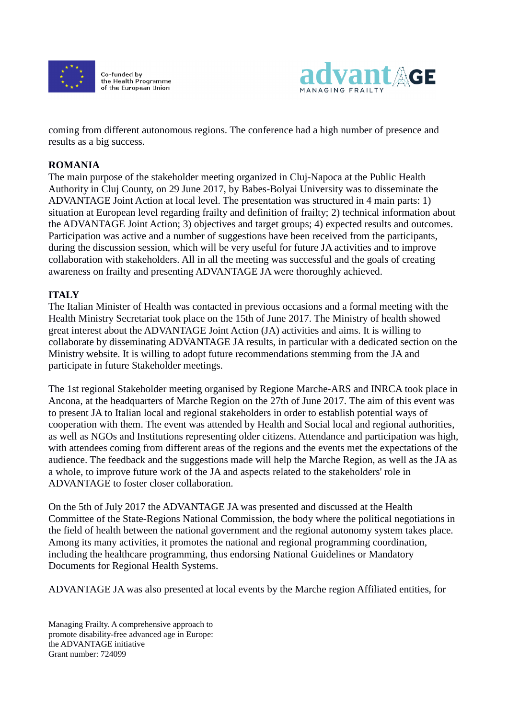



coming from different autonomous regions. The conference had a high number of presence and results as a big success.

## ROMANIA

The main purpose of the stakeholder meeting organized in Cluj-Napoca at the Public Health Authority in Cluj County, on 29 June 2017, by Babes-Bolyai University was to disseminate the ADVANTAGE Joint Action at local level. The presentation was structured in 4 main parts: 1) situation at European level regarding frailty and definition of frailty; 2) technical information about the ADVANTAGE Joint Action; 3) objectives and target groups; 4) expected results and outcomes. Participation was active and a number of suggestions have been received from the participants, during the discussion session, which will be very useful for future JA activities and to improve collaboration with stakeholders. All in all the meeting was successful and the goals of creating awareness on frailty and presenting ADVANTAGE JA were thoroughly achieved.

# **ITALY**

The Italian Minister of Health was contacted in previous occasions and a formal meeting with the Health Ministry Secretariat took place on the 15th of June 2017. The Ministry of health showed great interest about the ADVANTAGE Joint Action (JA) activities and aims. It is willing to collaborate by disseminating ADVANTAGE JA results, in particular with a dedicated section on the Ministry website. It is willing to adopt future recommendations stemming from the JA and participate in future Stakeholder meetings.

The 1st regional Stakeholder meeting organised by Regione Marche-ARS and INRCA took place in Ancona, at the headquarters of Marche Region on the 27th of June 2017. The aim of this event was to present JA to Italian local and regional stakeholders in order to establish potential ways of cooperation with them. The event was attended by Health and Social local and regional authorities, as well as NGOs and Institutions representing older citizens. Attendance and participation was high, with attendees coming from different areas of the regions and the events met the expectations of the audience. The feedback and the suggestions made will help the Marche Region, as well as the JA as a whole, to improve future work of the JA and aspects related to the stakeholders' role in ADVANTAGE to foster closer collaboration.

On the 5th of July 2017 the ADVANTAGE JA was presented and discussed at the Health Committee of the State-Regions National Commission, the body where the political negotiations in the field of health between the national government and the regional autonomy system takes place. Among its many activities, it promotes the national and regional programming coordination, including the healthcare programming, thus endorsing National Guidelines or Mandatory Documents for Regional Health Systems.

ADVANTAGE JA was also presented at local events by the Marche region Affiliated entities, for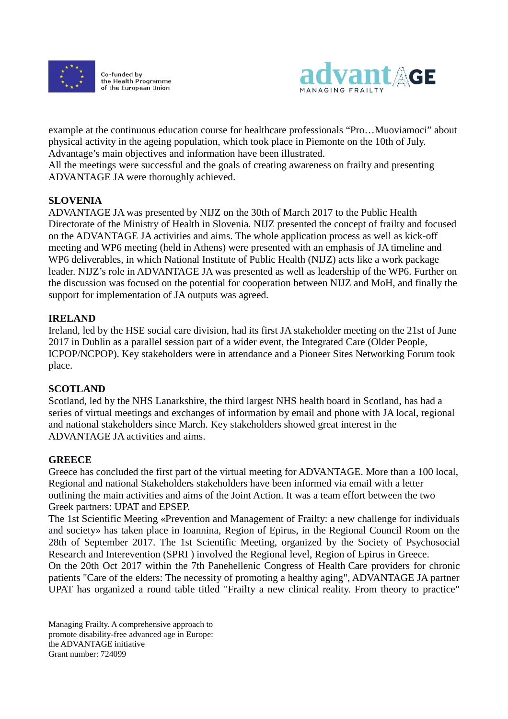



example at the continuous education course for healthcare professionals "Pro…Muoviamoci" about physical activity in the ageing population, which took place in Piemonte on the 10th of July. Advantage's main objectives and information have been illustrated.

All the meetings were successful and the goals of creating awareness on frailty and presenting ADVANTAGE JA were thoroughly achieved.

## SLOVENIA

ADVANTAGE JA was presented by NIJZ on the 30th of March 2017 to the Public Health Directorate of the Ministry of Health in Slovenia. NIJZ presented the concept of frailty and focused on the ADVANTAGE JA activities and aims. The whole application process as well as kick-off meeting and WP6 meeting (held in Athens) were presented with an emphasis of JA timeline and WP6 deliverables, in which National Institute of Public Health (NIJZ) acts like a work package leader. NIJZ's role in ADVANTAGE JA was presented as well as leadership of the WP6. Further on the discussion was focused on the potential for cooperation between NIJZ and MoH, and finally the support for implementation of JA outputs was agreed.

#### IRELAND

Ireland, led by the HSE social care division, had its first JA stakeholder meeting on the 21st of June 2017 in Dublin as a parallel session part of a wider event, the Integrated Care (Older People, ICPOP/NCPOP). Key stakeholders were in attendance and a Pioneer Sites Networking Forum took place.

#### SCOTLAND

Scotland, led by the NHS Lanarkshire, the third largest NHS health board in Scotland, has had a series of virtual meetings and exchanges of information by email and phone with JA local, regional and national stakeholders since March. Key stakeholders showed great interest in the ADVANTAGE JA activities and aims.

#### **GREECE**

Greece has concluded the first part of the virtual meeting for ADVANTAGE. More than a 100 local, Regional and national Stakeholders stakeholders have been informed via email with a letter outlining the main activities and aims of the Joint Action. It was a team effort between the two Greek partners: UPAT and EPSEP.

The 1st Scientific Meeting «Prevention and Management of Frailty: a new challenge for individuals and society» has taken place in Ioannina, Region of Epirus, in the Regional Council Room on the 28th of September 2017. The 1st Scientific Meeting, organized by the Society of Psychosocial Research and Interevention (SPRI ) involved the Regional level, Region of Epirus in Greece. On the 20th Oct 2017 within the 7th Panehellenic Congress of Health Care providers for chronic patients "Care of the elders: The necessity of promoting a healthy aging", ADVANTAGE JA partner UPAT has organized a round table titled "Frailty a new clinical reality. From theory to practice"